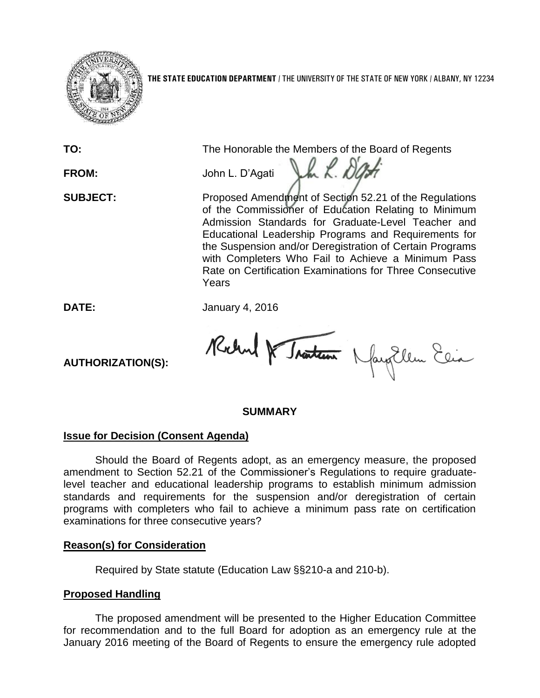

**THE STATE EDUCATION DEPARTMENT** / THE UNIVERSITY OF THE STATE OF NEW YORK / ALBANY, NY 12234

**TO:** The Honorable the Members of the Board of Regents

Jak. Da

**FROM:** John L. D'Agati

**SUBJECT:** Proposed Amendment of Section 52.21 of the Regulations of the Commissioner of Education Relating to Minimum Admission Standards for Graduate-Level Teacher and Educational Leadership Programs and Requirements for the Suspension and/or Deregistration of Certain Programs with Completers Who Fail to Achieve a Minimum Pass Rate on Certification Examinations for Three Consecutive Years

**DATE:** January 4, 2016

Robert & Traiteau Nagellem Elia

**AUTHORIZATION(S):**

## **SUMMARY**

# **Issue for Decision (Consent Agenda)**

Should the Board of Regents adopt, as an emergency measure, the proposed amendment to Section 52.21 of the Commissioner's Regulations to require graduatelevel teacher and educational leadership programs to establish minimum admission standards and requirements for the suspension and/or deregistration of certain programs with completers who fail to achieve a minimum pass rate on certification examinations for three consecutive years?

## **Reason(s) for Consideration**

Required by State statute (Education Law §§210-a and 210-b).

# **Proposed Handling**

The proposed amendment will be presented to the Higher Education Committee for recommendation and to the full Board for adoption as an emergency rule at the January 2016 meeting of the Board of Regents to ensure the emergency rule adopted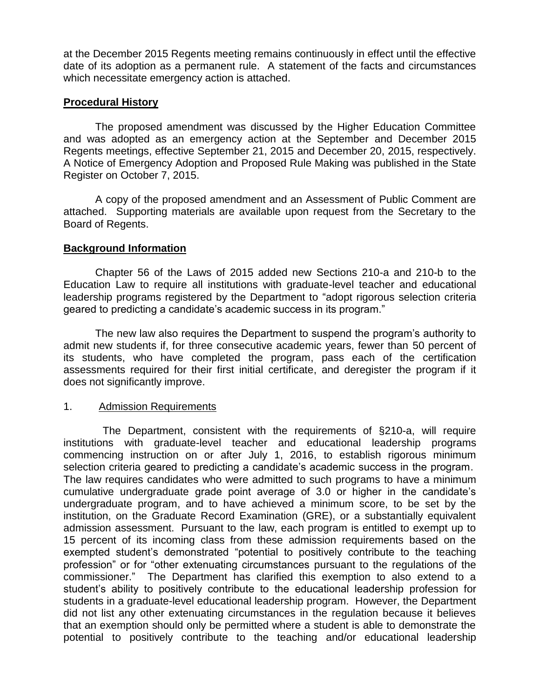at the December 2015 Regents meeting remains continuously in effect until the effective date of its adoption as a permanent rule. A statement of the facts and circumstances which necessitate emergency action is attached.

## **Procedural History**

The proposed amendment was discussed by the Higher Education Committee and was adopted as an emergency action at the September and December 2015 Regents meetings, effective September 21, 2015 and December 20, 2015, respectively. A Notice of Emergency Adoption and Proposed Rule Making was published in the State Register on October 7, 2015.

A copy of the proposed amendment and an Assessment of Public Comment are attached. Supporting materials are available upon request from the Secretary to the Board of Regents.

## **Background Information**

Chapter 56 of the Laws of 2015 added new Sections 210-a and 210-b to the Education Law to require all institutions with graduate-level teacher and educational leadership programs registered by the Department to "adopt rigorous selection criteria geared to predicting a candidate's academic success in its program."

The new law also requires the Department to suspend the program's authority to admit new students if, for three consecutive academic years, fewer than 50 percent of its students, who have completed the program, pass each of the certification assessments required for their first initial certificate, and deregister the program if it does not significantly improve.

## 1. Admission Requirements

 The Department, consistent with the requirements of §210-a, will require institutions with graduate-level teacher and educational leadership programs commencing instruction on or after July 1, 2016, to establish rigorous minimum selection criteria geared to predicting a candidate's academic success in the program. The law requires candidates who were admitted to such programs to have a minimum cumulative undergraduate grade point average of 3.0 or higher in the candidate's undergraduate program, and to have achieved a minimum score, to be set by the institution, on the Graduate Record Examination (GRE), or a substantially equivalent admission assessment. Pursuant to the law, each program is entitled to exempt up to 15 percent of its incoming class from these admission requirements based on the exempted student's demonstrated "potential to positively contribute to the teaching profession" or for "other extenuating circumstances pursuant to the regulations of the commissioner." The Department has clarified this exemption to also extend to a student's ability to positively contribute to the educational leadership profession for students in a graduate-level educational leadership program. However, the Department did not list any other extenuating circumstances in the regulation because it believes that an exemption should only be permitted where a student is able to demonstrate the potential to positively contribute to the teaching and/or educational leadership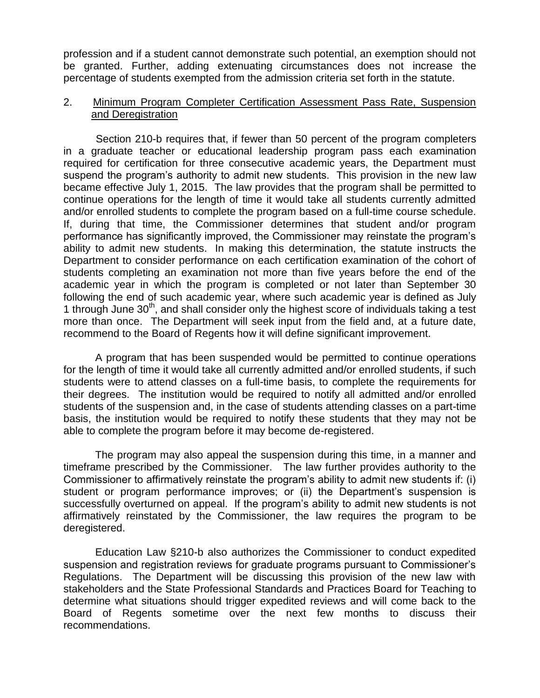profession and if a student cannot demonstrate such potential, an exemption should not be granted. Further, adding extenuating circumstances does not increase the percentage of students exempted from the admission criteria set forth in the statute.

## 2. Minimum Program Completer Certification Assessment Pass Rate, Suspension and Deregistration

 Section 210-b requires that, if fewer than 50 percent of the program completers in a graduate teacher or educational leadership program pass each examination required for certification for three consecutive academic years, the Department must suspend the program's authority to admit new students. This provision in the new law became effective July 1, 2015. The law provides that the program shall be permitted to continue operations for the length of time it would take all students currently admitted and/or enrolled students to complete the program based on a full-time course schedule. If, during that time, the Commissioner determines that student and/or program performance has significantly improved, the Commissioner may reinstate the program's ability to admit new students. In making this determination, the statute instructs the Department to consider performance on each certification examination of the cohort of students completing an examination not more than five years before the end of the academic year in which the program is completed or not later than September 30 following the end of such academic year, where such academic year is defined as July 1 through June 30<sup>th</sup>, and shall consider only the highest score of individuals taking a test more than once. The Department will seek input from the field and, at a future date, recommend to the Board of Regents how it will define significant improvement.

A program that has been suspended would be permitted to continue operations for the length of time it would take all currently admitted and/or enrolled students, if such students were to attend classes on a full-time basis, to complete the requirements for their degrees. The institution would be required to notify all admitted and/or enrolled students of the suspension and, in the case of students attending classes on a part-time basis, the institution would be required to notify these students that they may not be able to complete the program before it may become de-registered.

The program may also appeal the suspension during this time, in a manner and timeframe prescribed by the Commissioner. The law further provides authority to the Commissioner to affirmatively reinstate the program's ability to admit new students if: (i) student or program performance improves; or (ii) the Department's suspension is successfully overturned on appeal. If the program's ability to admit new students is not affirmatively reinstated by the Commissioner, the law requires the program to be deregistered.

Education Law §210-b also authorizes the Commissioner to conduct expedited suspension and registration reviews for graduate programs pursuant to Commissioner's Regulations. The Department will be discussing this provision of the new law with stakeholders and the State Professional Standards and Practices Board for Teaching to determine what situations should trigger expedited reviews and will come back to the Board of Regents sometime over the next few months to discuss their recommendations.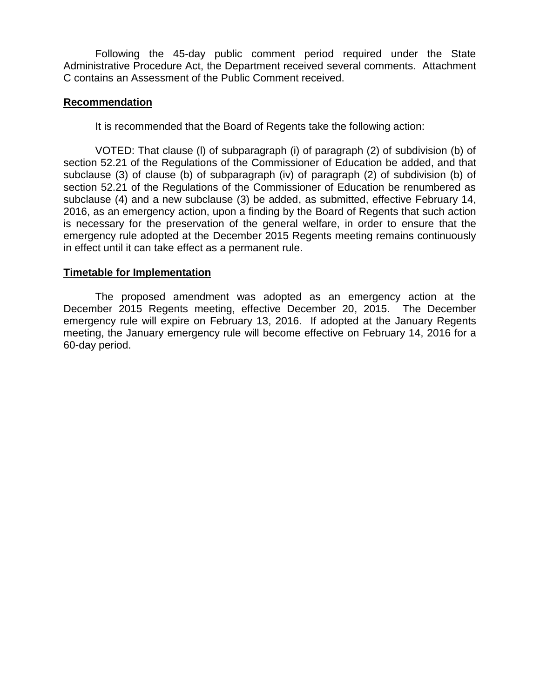Following the 45-day public comment period required under the State Administrative Procedure Act, the Department received several comments. Attachment C contains an Assessment of the Public Comment received.

## **Recommendation**

It is recommended that the Board of Regents take the following action:

VOTED: That clause (l) of subparagraph (i) of paragraph (2) of subdivision (b) of section 52.21 of the Regulations of the Commissioner of Education be added, and that subclause (3) of clause (b) of subparagraph (iv) of paragraph (2) of subdivision (b) of section 52.21 of the Regulations of the Commissioner of Education be renumbered as subclause (4) and a new subclause (3) be added, as submitted, effective February 14, 2016, as an emergency action, upon a finding by the Board of Regents that such action is necessary for the preservation of the general welfare, in order to ensure that the emergency rule adopted at the December 2015 Regents meeting remains continuously in effect until it can take effect as a permanent rule.

## **Timetable for Implementation**

The proposed amendment was adopted as an emergency action at the December 2015 Regents meeting, effective December 20, 2015. The December emergency rule will expire on February 13, 2016. If adopted at the January Regents meeting, the January emergency rule will become effective on February 14, 2016 for a 60-day period.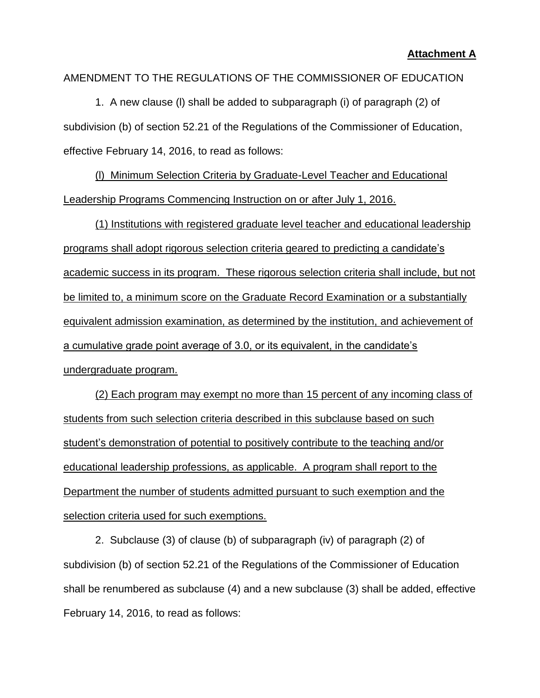## AMENDMENT TO THE REGULATIONS OF THE COMMISSIONER OF EDUCATION

1. A new clause (l) shall be added to subparagraph (i) of paragraph (2) of subdivision (b) of section 52.21 of the Regulations of the Commissioner of Education, effective February 14, 2016, to read as follows:

(l) Minimum Selection Criteria by Graduate-Level Teacher and Educational Leadership Programs Commencing Instruction on or after July 1, 2016.

(1) Institutions with registered graduate level teacher and educational leadership programs shall adopt rigorous selection criteria geared to predicting a candidate's academic success in its program. These rigorous selection criteria shall include, but not be limited to, a minimum score on the Graduate Record Examination or a substantially equivalent admission examination, as determined by the institution, and achievement of a cumulative grade point average of 3.0, or its equivalent, in the candidate's undergraduate program.

(2) Each program may exempt no more than 15 percent of any incoming class of students from such selection criteria described in this subclause based on such student's demonstration of potential to positively contribute to the teaching and/or educational leadership professions, as applicable. A program shall report to the Department the number of students admitted pursuant to such exemption and the selection criteria used for such exemptions.

2. Subclause (3) of clause (b) of subparagraph (iv) of paragraph (2) of subdivision (b) of section 52.21 of the Regulations of the Commissioner of Education shall be renumbered as subclause (4) and a new subclause (3) shall be added, effective February 14, 2016, to read as follows: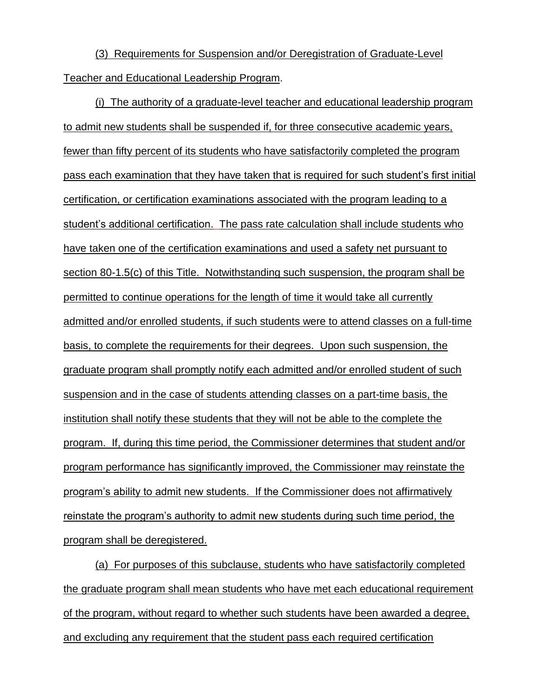(3) Requirements for Suspension and/or Deregistration of Graduate-Level Teacher and Educational Leadership Program.

(i) The authority of a graduate-level teacher and educational leadership program to admit new students shall be suspended if, for three consecutive academic years, fewer than fifty percent of its students who have satisfactorily completed the program pass each examination that they have taken that is required for such student's first initial certification, or certification examinations associated with the program leading to a student's additional certification. The pass rate calculation shall include students who have taken one of the certification examinations and used a safety net pursuant to section 80-1.5(c) of this Title. Notwithstanding such suspension, the program shall be permitted to continue operations for the length of time it would take all currently admitted and/or enrolled students, if such students were to attend classes on a full-time basis, to complete the requirements for their degrees. Upon such suspension, the graduate program shall promptly notify each admitted and/or enrolled student of such suspension and in the case of students attending classes on a part-time basis, the institution shall notify these students that they will not be able to the complete the program. If, during this time period, the Commissioner determines that student and/or program performance has significantly improved, the Commissioner may reinstate the program's ability to admit new students. If the Commissioner does not affirmatively reinstate the program's authority to admit new students during such time period, the program shall be deregistered.

(a) For purposes of this subclause, students who have satisfactorily completed the graduate program shall mean students who have met each educational requirement of the program, without regard to whether such students have been awarded a degree, and excluding any requirement that the student pass each required certification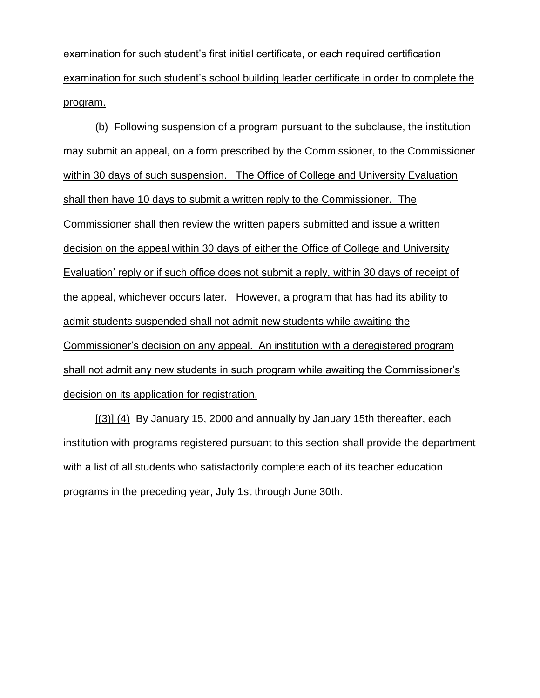examination for such student's first initial certificate, or each required certification examination for such student's school building leader certificate in order to complete the program.

(b) Following suspension of a program pursuant to the subclause, the institution may submit an appeal, on a form prescribed by the Commissioner, to the Commissioner within 30 days of such suspension. The Office of College and University Evaluation shall then have 10 days to submit a written reply to the Commissioner. The Commissioner shall then review the written papers submitted and issue a written decision on the appeal within 30 days of either the Office of College and University Evaluation' reply or if such office does not submit a reply, within 30 days of receipt of the appeal, whichever occurs later. However, a program that has had its ability to admit students suspended shall not admit new students while awaiting the Commissioner's decision on any appeal. An institution with a deregistered program shall not admit any new students in such program while awaiting the Commissioner's decision on its application for registration.

 $[(3)]$  (4) By January 15, 2000 and annually by January 15th thereafter, each institution with programs registered pursuant to this section shall provide the department with a list of all students who satisfactorily complete each of its teacher education programs in the preceding year, July 1st through June 30th.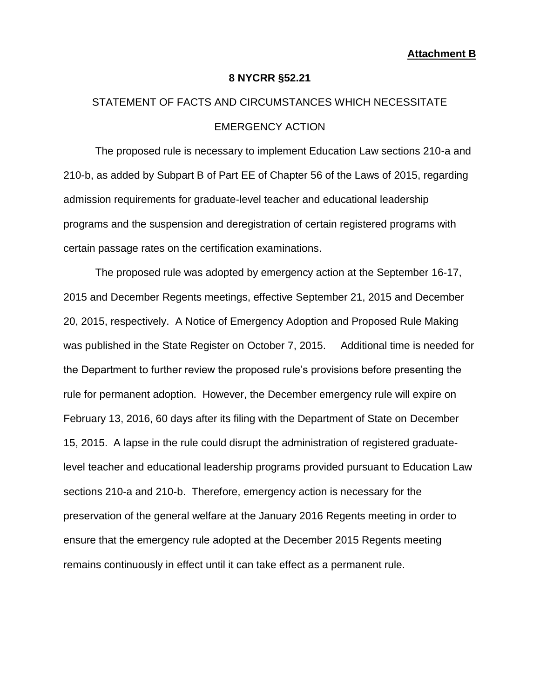#### **8 NYCRR §52.21**

# STATEMENT OF FACTS AND CIRCUMSTANCES WHICH NECESSITATE EMERGENCY ACTION

The proposed rule is necessary to implement Education Law sections 210-a and 210-b, as added by Subpart B of Part EE of Chapter 56 of the Laws of 2015, regarding admission requirements for graduate-level teacher and educational leadership programs and the suspension and deregistration of certain registered programs with certain passage rates on the certification examinations.

The proposed rule was adopted by emergency action at the September 16-17, 2015 and December Regents meetings, effective September 21, 2015 and December 20, 2015, respectively. A Notice of Emergency Adoption and Proposed Rule Making was published in the State Register on October 7, 2015. Additional time is needed for the Department to further review the proposed rule's provisions before presenting the rule for permanent adoption. However, the December emergency rule will expire on February 13, 2016, 60 days after its filing with the Department of State on December 15, 2015. A lapse in the rule could disrupt the administration of registered graduatelevel teacher and educational leadership programs provided pursuant to Education Law sections 210-a and 210-b. Therefore, emergency action is necessary for the preservation of the general welfare at the January 2016 Regents meeting in order to ensure that the emergency rule adopted at the December 2015 Regents meeting remains continuously in effect until it can take effect as a permanent rule.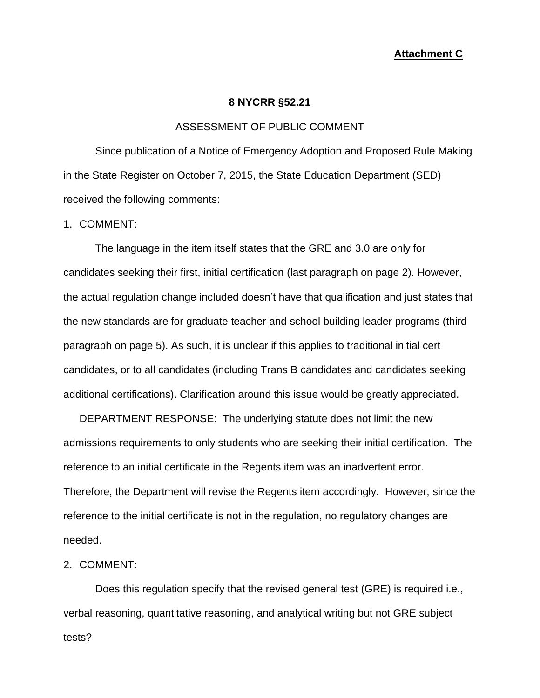#### **Attachment C**

#### **8 NYCRR §52.21**

#### ASSESSMENT OF PUBLIC COMMENT

Since publication of a Notice of Emergency Adoption and Proposed Rule Making in the State Register on October 7, 2015, the State Education Department (SED) received the following comments:

#### 1. COMMENT:

The language in the item itself states that the GRE and 3.0 are only for candidates seeking their first, initial certification (last paragraph on page 2). However, the actual regulation change included doesn't have that qualification and just states that the new standards are for graduate teacher and school building leader programs (third paragraph on page 5). As such, it is unclear if this applies to traditional initial cert candidates, or to all candidates (including Trans B candidates and candidates seeking additional certifications). Clarification around this issue would be greatly appreciated.

DEPARTMENT RESPONSE: The underlying statute does not limit the new admissions requirements to only students who are seeking their initial certification. The reference to an initial certificate in the Regents item was an inadvertent error. Therefore, the Department will revise the Regents item accordingly. However, since the reference to the initial certificate is not in the regulation, no regulatory changes are needed.

## 2. COMMENT:

Does this regulation specify that the revised general test (GRE) is required i.e., verbal reasoning, quantitative reasoning, and analytical writing but not GRE subject tests?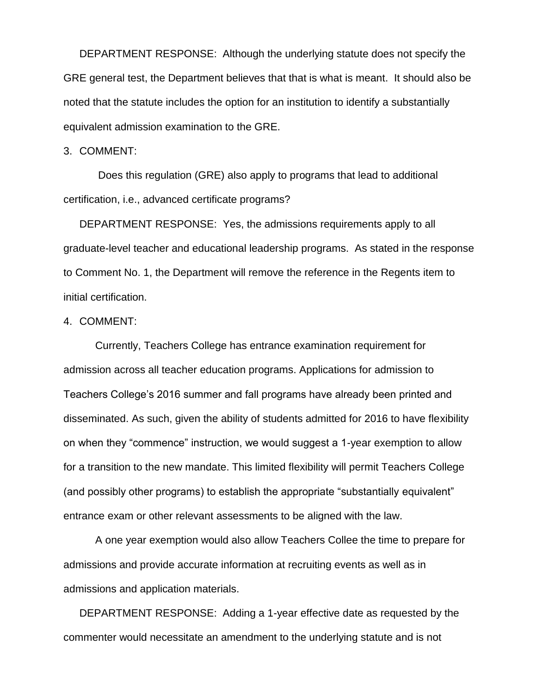DEPARTMENT RESPONSE: Although the underlying statute does not specify the GRE general test, the Department believes that that is what is meant. It should also be noted that the statute includes the option for an institution to identify a substantially equivalent admission examination to the GRE.

#### 3. COMMENT:

Does this regulation (GRE) also apply to programs that lead to additional certification, i.e., advanced certificate programs?

DEPARTMENT RESPONSE: Yes, the admissions requirements apply to all graduate-level teacher and educational leadership programs. As stated in the response to Comment No. 1, the Department will remove the reference in the Regents item to initial certification.

## 4. COMMENT:

Currently, Teachers College has entrance examination requirement for admission across all teacher education programs. Applications for admission to Teachers College's 2016 summer and fall programs have already been printed and disseminated. As such, given the ability of students admitted for 2016 to have flexibility on when they "commence" instruction, we would suggest a 1-year exemption to allow for a transition to the new mandate. This limited flexibility will permit Teachers College (and possibly other programs) to establish the appropriate "substantially equivalent" entrance exam or other relevant assessments to be aligned with the law.

A one year exemption would also allow Teachers Collee the time to prepare for admissions and provide accurate information at recruiting events as well as in admissions and application materials.

DEPARTMENT RESPONSE: Adding a 1-year effective date as requested by the commenter would necessitate an amendment to the underlying statute and is not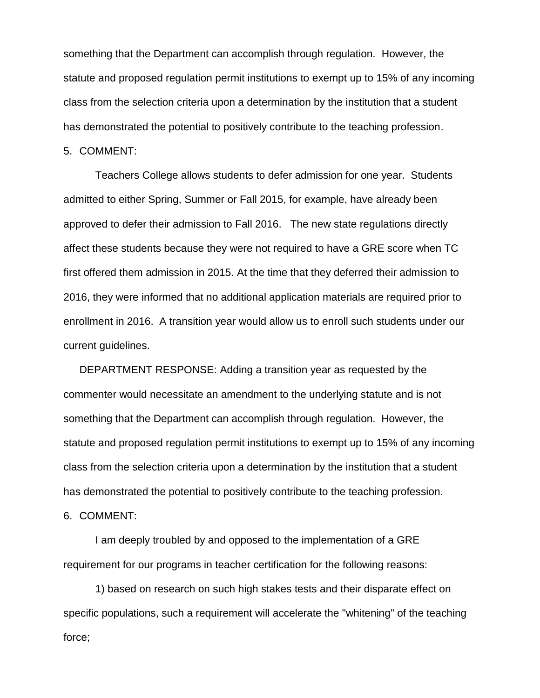something that the Department can accomplish through regulation. However, the statute and proposed regulation permit institutions to exempt up to 15% of any incoming class from the selection criteria upon a determination by the institution that a student has demonstrated the potential to positively contribute to the teaching profession.

5. COMMENT:

Teachers College allows students to defer admission for one year. Students admitted to either Spring, Summer or Fall 2015, for example, have already been approved to defer their admission to Fall 2016. The new state regulations directly affect these students because they were not required to have a GRE score when TC first offered them admission in 2015. At the time that they deferred their admission to 2016, they were informed that no additional application materials are required prior to enrollment in 2016. A transition year would allow us to enroll such students under our current guidelines.

DEPARTMENT RESPONSE: Adding a transition year as requested by the commenter would necessitate an amendment to the underlying statute and is not something that the Department can accomplish through regulation. However, the statute and proposed regulation permit institutions to exempt up to 15% of any incoming class from the selection criteria upon a determination by the institution that a student has demonstrated the potential to positively contribute to the teaching profession.

6. COMMENT:

I am deeply troubled by and opposed to the implementation of a GRE requirement for our programs in teacher certification for the following reasons:

1) based on research on such high stakes tests and their disparate effect on specific populations, such a requirement will accelerate the "whitening" of the teaching force;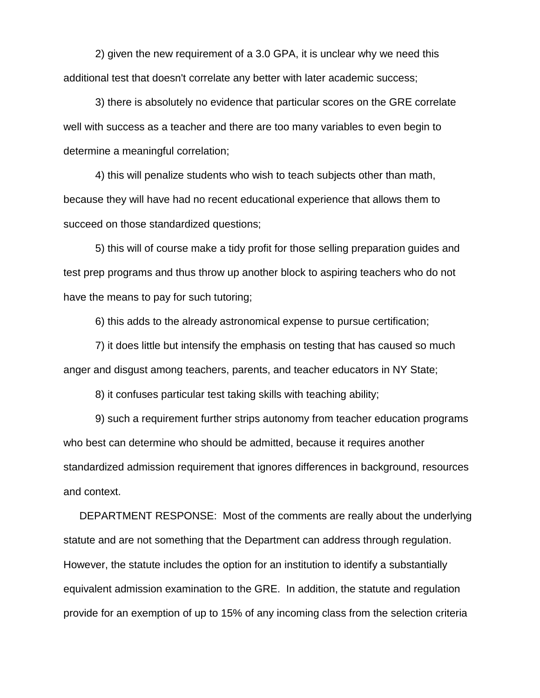2) given the new requirement of a 3.0 GPA, it is unclear why we need this additional test that doesn't correlate any better with later academic success;

3) there is absolutely no evidence that particular scores on the GRE correlate well with success as a teacher and there are too many variables to even begin to determine a meaningful correlation;

4) this will penalize students who wish to teach subjects other than math, because they will have had no recent educational experience that allows them to succeed on those standardized questions;

5) this will of course make a tidy profit for those selling preparation guides and test prep programs and thus throw up another block to aspiring teachers who do not have the means to pay for such tutoring;

6) this adds to the already astronomical expense to pursue certification;

7) it does little but intensify the emphasis on testing that has caused so much anger and disgust among teachers, parents, and teacher educators in NY State;

8) it confuses particular test taking skills with teaching ability;

9) such a requirement further strips autonomy from teacher education programs who best can determine who should be admitted, because it requires another standardized admission requirement that ignores differences in background, resources and context.

DEPARTMENT RESPONSE: Most of the comments are really about the underlying statute and are not something that the Department can address through regulation. However, the statute includes the option for an institution to identify a substantially equivalent admission examination to the GRE. In addition, the statute and regulation provide for an exemption of up to 15% of any incoming class from the selection criteria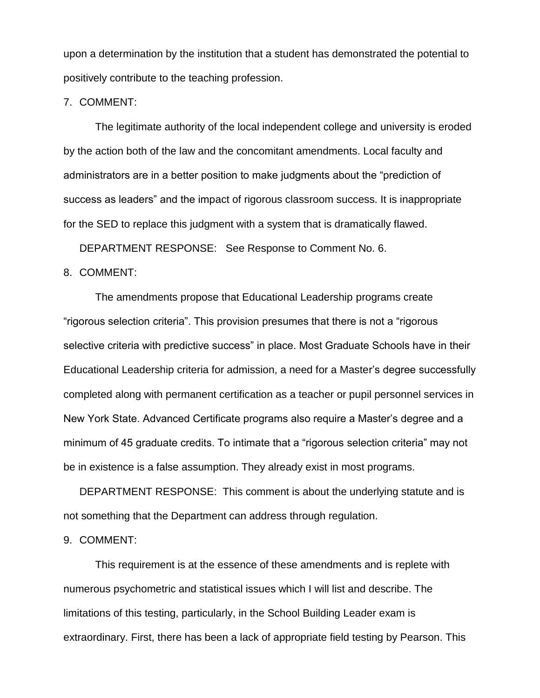upon a determination by the institution that a student has demonstrated the potential to positively contribute to the teaching profession.

7. COMMENT:

The legitimate authority of the local independent college and university is eroded by the action both of the law and the concomitant amendments. Local faculty and administrators are in a better position to make judgments about the "prediction of success as leaders" and the impact of rigorous classroom success. It is inappropriate for the SED to replace this judgment with a system that is dramatically flawed.

DEPARTMENT RESPONSE: See Response to Comment No. 6.

#### 8. COMMENT:

The amendments propose that Educational Leadership programs create "rigorous selection criteria". This provision presumes that there is not a "rigorous selective criteria with predictive success" in place. Most Graduate Schools have in their Educational Leadership criteria for admission, a need for a Master's degree successfully completed along with permanent certification as a teacher or pupil personnel services in New York State. Advanced Certificate programs also require a Master's degree and a minimum of 45 graduate credits. To intimate that a "rigorous selection criteria" may not be in existence is a false assumption. They already exist in most programs.

DEPARTMENT RESPONSE: This comment is about the underlying statute and is not something that the Department can address through regulation.

#### 9. COMMENT:

This requirement is at the essence of these amendments and is replete with numerous psychometric and statistical issues which I will list and describe. The limitations of this testing, particularly, in the School Building Leader exam is extraordinary. First, there has been a lack of appropriate field testing by Pearson. This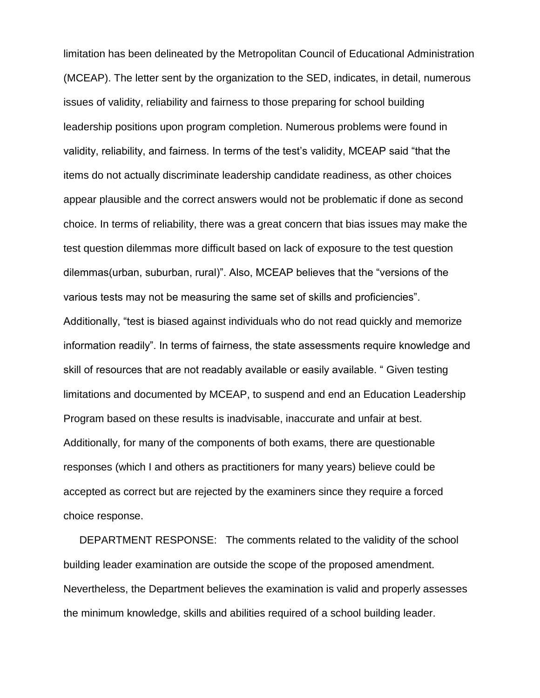limitation has been delineated by the Metropolitan Council of Educational Administration (MCEAP). The letter sent by the organization to the SED, indicates, in detail, numerous issues of validity, reliability and fairness to those preparing for school building leadership positions upon program completion. Numerous problems were found in validity, reliability, and fairness. In terms of the test's validity, MCEAP said "that the items do not actually discriminate leadership candidate readiness, as other choices appear plausible and the correct answers would not be problematic if done as second choice. In terms of reliability, there was a great concern that bias issues may make the test question dilemmas more difficult based on lack of exposure to the test question dilemmas(urban, suburban, rural)". Also, MCEAP believes that the "versions of the various tests may not be measuring the same set of skills and proficiencies". Additionally, "test is biased against individuals who do not read quickly and memorize information readily". In terms of fairness, the state assessments require knowledge and skill of resources that are not readably available or easily available. " Given testing limitations and documented by MCEAP, to suspend and end an Education Leadership Program based on these results is inadvisable, inaccurate and unfair at best. Additionally, for many of the components of both exams, there are questionable responses (which I and others as practitioners for many years) believe could be accepted as correct but are rejected by the examiners since they require a forced choice response.

DEPARTMENT RESPONSE: The comments related to the validity of the school building leader examination are outside the scope of the proposed amendment. Nevertheless, the Department believes the examination is valid and properly assesses the minimum knowledge, skills and abilities required of a school building leader.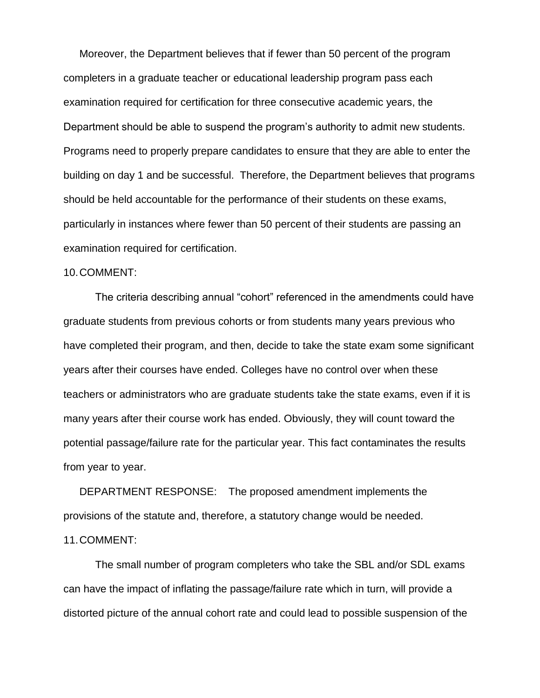Moreover, the Department believes that if fewer than 50 percent of the program completers in a graduate teacher or educational leadership program pass each examination required for certification for three consecutive academic years, the Department should be able to suspend the program's authority to admit new students. Programs need to properly prepare candidates to ensure that they are able to enter the building on day 1 and be successful. Therefore, the Department believes that programs should be held accountable for the performance of their students on these exams, particularly in instances where fewer than 50 percent of their students are passing an examination required for certification.

#### 10.COMMENT:

The criteria describing annual "cohort" referenced in the amendments could have graduate students from previous cohorts or from students many years previous who have completed their program, and then, decide to take the state exam some significant years after their courses have ended. Colleges have no control over when these teachers or administrators who are graduate students take the state exams, even if it is many years after their course work has ended. Obviously, they will count toward the potential passage/failure rate for the particular year. This fact contaminates the results from year to year.

DEPARTMENT RESPONSE: The proposed amendment implements the provisions of the statute and, therefore, a statutory change would be needed. 11.COMMENT:

The small number of program completers who take the SBL and/or SDL exams can have the impact of inflating the passage/failure rate which in turn, will provide a distorted picture of the annual cohort rate and could lead to possible suspension of the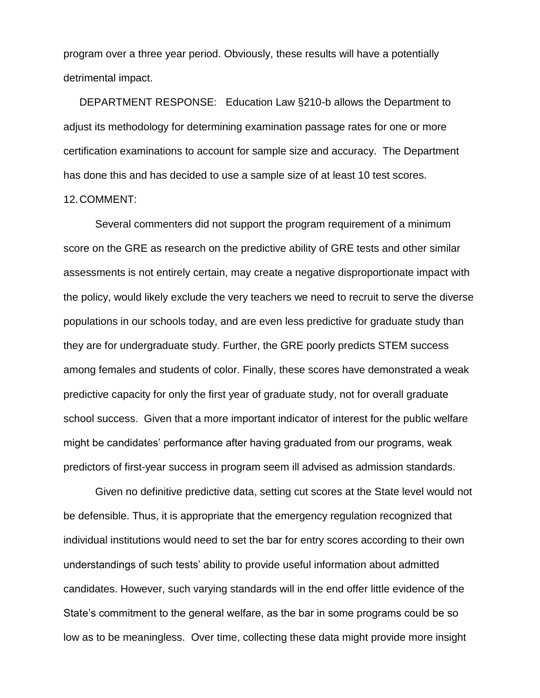program over a three year period. Obviously, these results will have a potentially detrimental impact.

DEPARTMENT RESPONSE: Education Law §210-b allows the Department to adjust its methodology for determining examination passage rates for one or more certification examinations to account for sample size and accuracy. The Department has done this and has decided to use a sample size of at least 10 test scores.

### 12.COMMENT:

Several commenters did not support the program requirement of a minimum score on the GRE as research on the predictive ability of GRE tests and other similar assessments is not entirely certain, may create a negative disproportionate impact with the policy, would likely exclude the very teachers we need to recruit to serve the diverse populations in our schools today, and are even less predictive for graduate study than they are for undergraduate study. Further, the GRE poorly predicts STEM success among females and students of color. Finally, these scores have demonstrated a weak predictive capacity for only the first year of graduate study, not for overall graduate school success. Given that a more important indicator of interest for the public welfare might be candidates' performance after having graduated from our programs, weak predictors of first-year success in program seem ill advised as admission standards.

Given no definitive predictive data, setting cut scores at the State level would not be defensible. Thus, it is appropriate that the emergency regulation recognized that individual institutions would need to set the bar for entry scores according to their own understandings of such tests' ability to provide useful information about admitted candidates. However, such varying standards will in the end offer little evidence of the State's commitment to the general welfare, as the bar in some programs could be so low as to be meaningless. Over time, collecting these data might provide more insight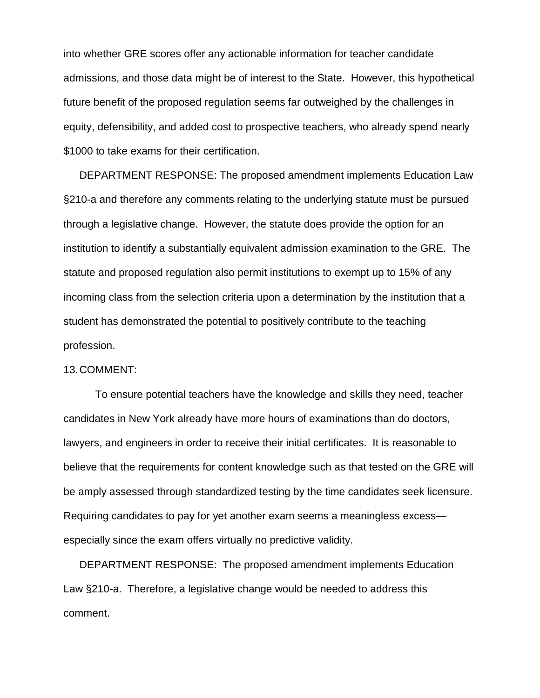into whether GRE scores offer any actionable information for teacher candidate admissions, and those data might be of interest to the State. However, this hypothetical future benefit of the proposed regulation seems far outweighed by the challenges in equity, defensibility, and added cost to prospective teachers, who already spend nearly \$1000 to take exams for their certification.

DEPARTMENT RESPONSE: The proposed amendment implements Education Law §210-a and therefore any comments relating to the underlying statute must be pursued through a legislative change. However, the statute does provide the option for an institution to identify a substantially equivalent admission examination to the GRE. The statute and proposed regulation also permit institutions to exempt up to 15% of any incoming class from the selection criteria upon a determination by the institution that a student has demonstrated the potential to positively contribute to the teaching profession.

#### 13.COMMENT:

To ensure potential teachers have the knowledge and skills they need, teacher candidates in New York already have more hours of examinations than do doctors, lawyers, and engineers in order to receive their initial certificates. It is reasonable to believe that the requirements for content knowledge such as that tested on the GRE will be amply assessed through standardized testing by the time candidates seek licensure. Requiring candidates to pay for yet another exam seems a meaningless excess especially since the exam offers virtually no predictive validity.

DEPARTMENT RESPONSE: The proposed amendment implements Education Law §210-a. Therefore, a legislative change would be needed to address this comment.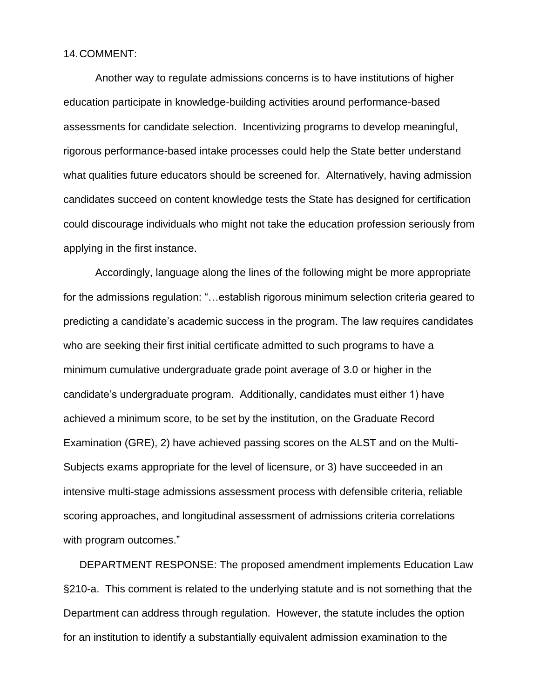#### 14.COMMENT:

Another way to regulate admissions concerns is to have institutions of higher education participate in knowledge-building activities around performance-based assessments for candidate selection. Incentivizing programs to develop meaningful, rigorous performance-based intake processes could help the State better understand what qualities future educators should be screened for. Alternatively, having admission candidates succeed on content knowledge tests the State has designed for certification could discourage individuals who might not take the education profession seriously from applying in the first instance.

Accordingly, language along the lines of the following might be more appropriate for the admissions regulation: "...establish rigorous minimum selection criteria geared to predicting a candidate's academic success in the program. The law requires candidates who are seeking their first initial certificate admitted to such programs to have a minimum cumulative undergraduate grade point average of 3.0 or higher in the candidate's undergraduate program. Additionally, candidates must either 1) have achieved a minimum score, to be set by the institution, on the Graduate Record Examination (GRE), 2) have achieved passing scores on the ALST and on the Multi-Subjects exams appropriate for the level of licensure, or 3) have succeeded in an intensive multi-stage admissions assessment process with defensible criteria, reliable scoring approaches, and longitudinal assessment of admissions criteria correlations with program outcomes."

DEPARTMENT RESPONSE: The proposed amendment implements Education Law §210-a. This comment is related to the underlying statute and is not something that the Department can address through regulation. However, the statute includes the option for an institution to identify a substantially equivalent admission examination to the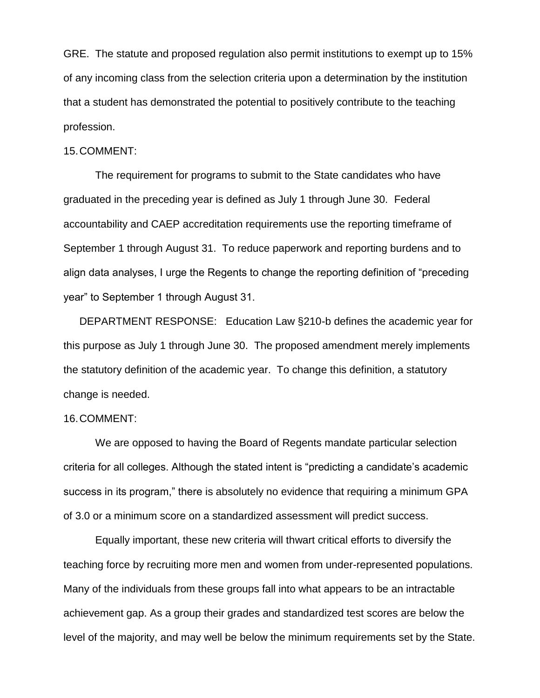GRE. The statute and proposed regulation also permit institutions to exempt up to 15% of any incoming class from the selection criteria upon a determination by the institution that a student has demonstrated the potential to positively contribute to the teaching profession.

#### 15.COMMENT:

The requirement for programs to submit to the State candidates who have graduated in the preceding year is defined as July 1 through June 30. Federal accountability and CAEP accreditation requirements use the reporting timeframe of September 1 through August 31. To reduce paperwork and reporting burdens and to align data analyses, I urge the Regents to change the reporting definition of "preceding year" to September 1 through August 31.

DEPARTMENT RESPONSE: Education Law §210-b defines the academic year for this purpose as July 1 through June 30. The proposed amendment merely implements the statutory definition of the academic year. To change this definition, a statutory change is needed.

#### 16.COMMENT:

We are opposed to having the Board of Regents mandate particular selection criteria for all colleges. Although the stated intent is "predicting a candidate's academic success in its program," there is absolutely no evidence that requiring a minimum GPA of 3.0 or a minimum score on a standardized assessment will predict success.

Equally important, these new criteria will thwart critical efforts to diversify the teaching force by recruiting more men and women from under-represented populations. Many of the individuals from these groups fall into what appears to be an intractable achievement gap. As a group their grades and standardized test scores are below the level of the majority, and may well be below the minimum requirements set by the State.